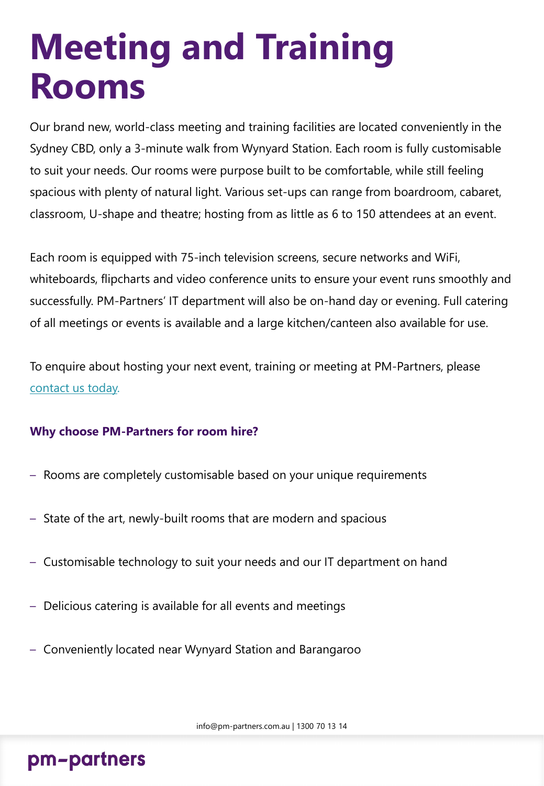## **Meeting and Training Rooms**

Our brand new, world-class meeting and training facilities are located conveniently in the Sydney CBD, only a 3-minute walk from Wynyard Station. Each room is fully customisable to suit your needs. Our rooms were purpose built to be comfortable, while still feeling spacious with plenty of natural light. Various set-ups can range from boardroom, cabaret, classroom, U-shape and theatre; hosting from as little as 6 to 150 attendees at an event.

Each room is equipped with 75-inch television screens, secure networks and WiFi, whiteboards, flipcharts and video conference units to ensure your event runs smoothly and successfully. PM-Partners' IT department will also be on-hand day or evening. Full catering of all meetings or events is available and a large kitchen/canteen also available for use.

To enquire about hosting your next event, training or meeting at PM-Partners, please [contact us today.](mailto:info@pm-partners.com,au?subject=Meeting%20Room%20Enquiry%20)

#### **Why choose PM-Partners for room hire?**

- Rooms are completely customisable based on your unique requirements
- State of the art, newly-built rooms that are modern and spacious
- Customisable technology to suit your needs and our IT department on hand
- Delicious catering is available for all events and meetings
- Conveniently located near Wynyard Station and Barangaroo

#### pm-partners